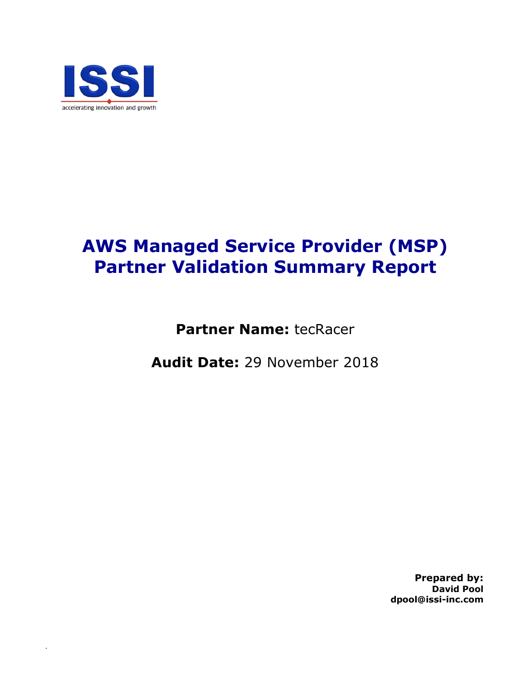

.

# **AWS Managed Service Provider (MSP) Partner Validation Summary Report**

**Partner Name:** tecRacer

**Audit Date:** 29 November 2018

**Prepared by: David Pool dpool@issi-inc.com**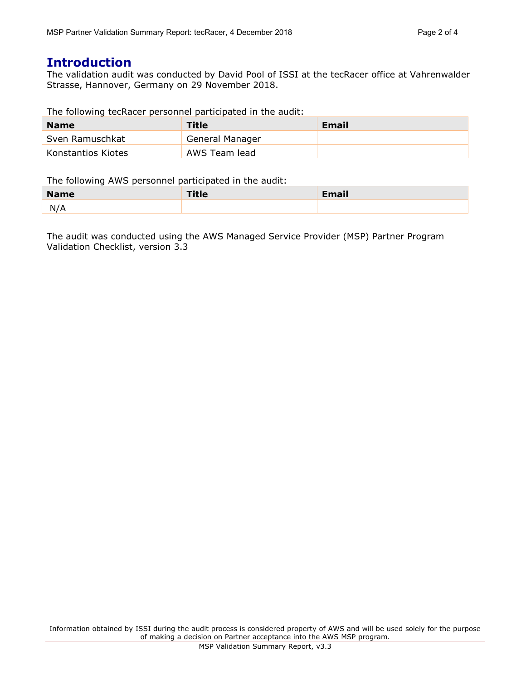#### **Introduction**

The validation audit was conducted by David Pool of ISSI at the tecRacer office at Vahrenwalder Strasse, Hannover, Germany on 29 November 2018.

The following tecRacer personnel participated in the audit:

| <b>Name</b>        | <b>Title</b>    | Email |
|--------------------|-----------------|-------|
| Sven Ramuschkat    | General Manager |       |
| Konstantios Kiotes | AWS Team lead   |       |

The following AWS personnel participated in the audit:

| <b>Name</b> | <b>Title</b> | $E = 11$ |
|-------------|--------------|----------|
| N/A         |              |          |

The audit was conducted using the AWS Managed Service Provider (MSP) Partner Program Validation Checklist, version 3.3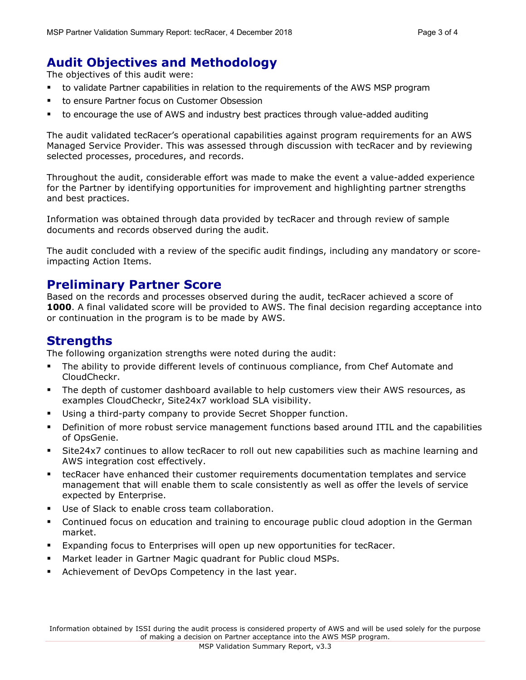# **Audit Objectives and Methodology**

The objectives of this audit were:

- § to validate Partner capabilities in relation to the requirements of the AWS MSP program
- to ensure Partner focus on Customer Obsession
- to encourage the use of AWS and industry best practices through value-added auditing

The audit validated tecRacer's operational capabilities against program requirements for an AWS Managed Service Provider. This was assessed through discussion with tecRacer and by reviewing selected processes, procedures, and records.

Throughout the audit, considerable effort was made to make the event a value-added experience for the Partner by identifying opportunities for improvement and highlighting partner strengths and best practices.

Information was obtained through data provided by tecRacer and through review of sample documents and records observed during the audit.

The audit concluded with a review of the specific audit findings, including any mandatory or scoreimpacting Action Items.

#### **Preliminary Partner Score**

Based on the records and processes observed during the audit, tecRacer achieved a score of **1000**. A final validated score will be provided to AWS. The final decision regarding acceptance into or continuation in the program is to be made by AWS.

## **Strengths**

The following organization strengths were noted during the audit:

- § The ability to provide different levels of continuous compliance, from Chef Automate and CloudCheckr.
- The depth of customer dashboard available to help customers view their AWS resources, as examples CloudCheckr, Site24x7 workload SLA visibility.
- Using a third-party company to provide Secret Shopper function.
- § Definition of more robust service management functions based around ITIL and the capabilities of OpsGenie.
- **•** Site24x7 continues to allow tecRacer to roll out new capabilities such as machine learning and AWS integration cost effectively.
- tecRacer have enhanced their customer requirements documentation templates and service management that will enable them to scale consistently as well as offer the levels of service expected by Enterprise.
- Use of Slack to enable cross team collaboration.
- Continued focus on education and training to encourage public cloud adoption in the German market.
- Expanding focus to Enterprises will open up new opportunities for tecRacer.
- § Market leader in Gartner Magic quadrant for Public cloud MSPs.
- Achievement of DevOps Competency in the last year.